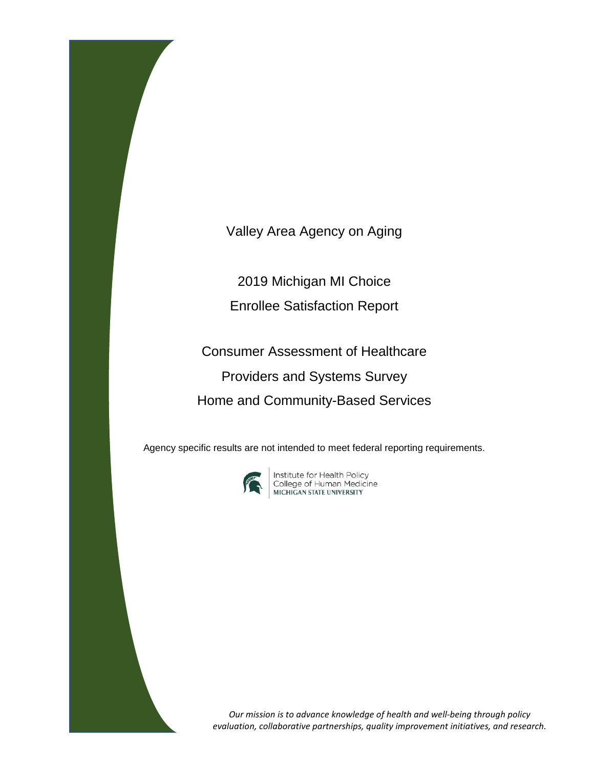Valley Area Agency on Aging

2019 Michigan MI Choice Enrollee Satisfaction Report

Consumer Assessment of Healthcare Providers and Systems Survey Home and Community-Based Services

Agency specific results are not intended to meet federal reporting requirements.



**Institute for Health Policy<br>College of Human Medicine<br>MICHIGAN STATE UNIVERSITY** 

*Our mission is to advance knowledge of health and well-being through policy evaluation, collaborative partnerships, quality improvement initiatives, and research.*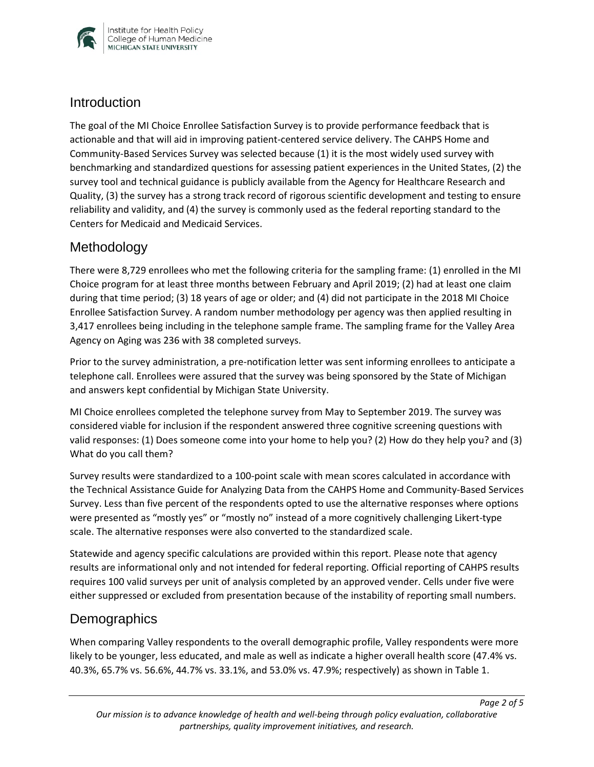

### **Introduction**

The goal of the MI Choice Enrollee Satisfaction Survey is to provide performance feedback that is actionable and that will aid in improving patient-centered service delivery. The CAHPS Home and Community-Based Services Survey was selected because (1) it is the most widely used survey with benchmarking and standardized questions for assessing patient experiences in the United States, (2) the survey tool and technical guidance is publicly available from the Agency for Healthcare Research and Quality, (3) the survey has a strong track record of rigorous scientific development and testing to ensure reliability and validity, and (4) the survey is commonly used as the federal reporting standard to the Centers for Medicaid and Medicaid Services.

## Methodology

There were 8,729 enrollees who met the following criteria for the sampling frame: (1) enrolled in the MI Choice program for at least three months between February and April 2019; (2) had at least one claim during that time period; (3) 18 years of age or older; and (4) did not participate in the 2018 MI Choice Enrollee Satisfaction Survey. A random number methodology per agency was then applied resulting in 3,417 enrollees being including in the telephone sample frame. The sampling frame for the Valley Area Agency on Aging was 236 with 38 completed surveys.

Prior to the survey administration, a pre-notification letter was sent informing enrollees to anticipate a telephone call. Enrollees were assured that the survey was being sponsored by the State of Michigan and answers kept confidential by Michigan State University.

MI Choice enrollees completed the telephone survey from May to September 2019. The survey was considered viable for inclusion if the respondent answered three cognitive screening questions with valid responses: (1) Does someone come into your home to help you? (2) How do they help you? and (3) What do you call them?

Survey results were standardized to a 100-point scale with mean scores calculated in accordance with the Technical Assistance Guide for Analyzing Data from the CAHPS Home and Community-Based Services Survey. Less than five percent of the respondents opted to use the alternative responses where options were presented as "mostly yes" or "mostly no" instead of a more cognitively challenging Likert-type scale. The alternative responses were also converted to the standardized scale.

Statewide and agency specific calculations are provided within this report. Please note that agency results are informational only and not intended for federal reporting. Official reporting of CAHPS results requires 100 valid surveys per unit of analysis completed by an approved vender. Cells under five were either suppressed or excluded from presentation because of the instability of reporting small numbers.

## **Demographics**

When comparing Valley respondents to the overall demographic profile, Valley respondents were more likely to be younger, less educated, and male as well as indicate a higher overall health score (47.4% vs. 40.3%, 65.7% vs. 56.6%, 44.7% vs. 33.1%, and 53.0% vs. 47.9%; respectively) as shown in Table 1.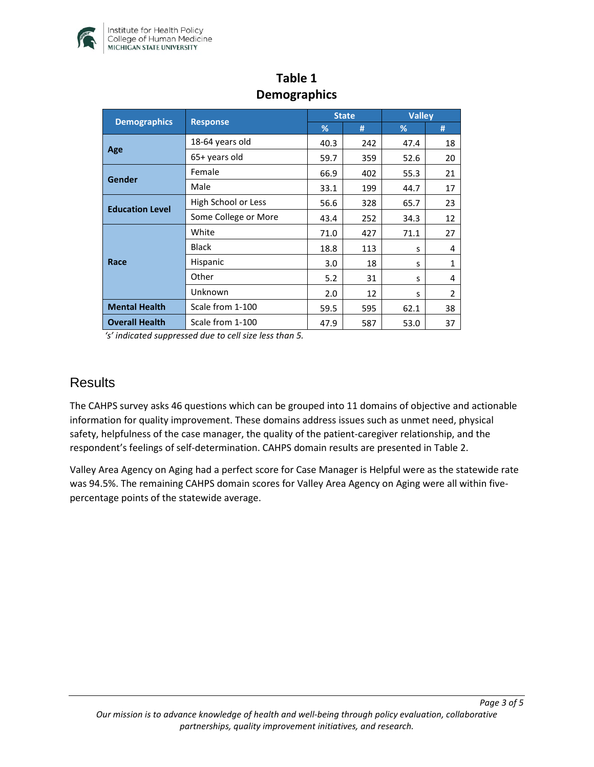

| <b>Demographics</b>    | <b>Response</b>      | <b>State</b> |     | <b>Valley</b> |              |
|------------------------|----------------------|--------------|-----|---------------|--------------|
|                        |                      | %            | #   | %             | #            |
| Age                    | 18-64 years old      | 40.3         | 242 | 47.4          | 18           |
|                        | 65+ years old        | 59.7         | 359 | 52.6          | 20           |
| Gender                 | Female               | 66.9         | 402 | 55.3          | 21           |
|                        | Male                 | 33.1         | 199 | 44.7          | 17           |
| <b>Education Level</b> | High School or Less  | 56.6         | 328 | 65.7          | 23           |
|                        | Some College or More | 43.4         | 252 | 34.3          | 12           |
| Race                   | White                | 71.0         | 427 | 71.1          | 27           |
|                        | <b>Black</b>         | 18.8         | 113 | S             | 4            |
|                        | Hispanic             | 3.0          | 18  | S             | $\mathbf{1}$ |
|                        | Other                | 5.2          | 31  | S             | 4            |
|                        | Unknown              | 2.0          | 12  | S             | 2            |
| <b>Mental Health</b>   | Scale from 1-100     | 59.5         | 595 | 62.1          | 38           |
| <b>Overall Health</b>  | Scale from 1-100     | 47.9         | 587 | 53.0          | 37           |

# **Table 1 Demographics**

*'s' indicated suppressed due to cell size less than 5.* 

#### **Results**

The CAHPS survey asks 46 questions which can be grouped into 11 domains of objective and actionable information for quality improvement. These domains address issues such as unmet need, physical safety, helpfulness of the case manager, the quality of the patient-caregiver relationship, and the respondent's feelings of self-determination. CAHPS domain results are presented in Table 2.

Valley Area Agency on Aging had a perfect score for Case Manager is Helpful were as the statewide rate was 94.5%. The remaining CAHPS domain scores for Valley Area Agency on Aging were all within fivepercentage points of the statewide average.

*Page 3 of 5*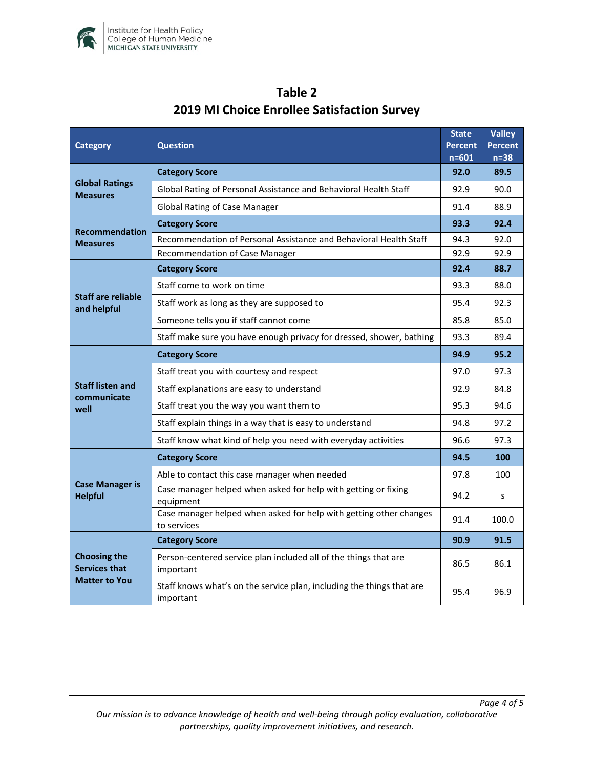

| <b>Category</b>                                                     | <b>Question</b>                                                                    |      | Valley<br><b>Percent</b><br>$n=38$ |
|---------------------------------------------------------------------|------------------------------------------------------------------------------------|------|------------------------------------|
| <b>Global Ratings</b><br><b>Measures</b>                            | <b>Category Score</b>                                                              |      | 89.5                               |
|                                                                     | Global Rating of Personal Assistance and Behavioral Health Staff                   |      | 90.0                               |
|                                                                     | <b>Global Rating of Case Manager</b>                                               |      | 88.9                               |
| <b>Recommendation</b><br><b>Measures</b>                            | <b>Category Score</b>                                                              | 93.3 | 92.4                               |
|                                                                     | Recommendation of Personal Assistance and Behavioral Health Staff                  | 94.3 | 92.0                               |
|                                                                     | Recommendation of Case Manager                                                     | 92.9 | 92.9                               |
| <b>Staff are reliable</b><br>and helpful                            | <b>Category Score</b>                                                              | 92.4 | 88.7                               |
|                                                                     | Staff come to work on time                                                         | 93.3 | 88.0                               |
|                                                                     | Staff work as long as they are supposed to                                         | 95.4 | 92.3                               |
|                                                                     | Someone tells you if staff cannot come                                             | 85.8 | 85.0                               |
|                                                                     | Staff make sure you have enough privacy for dressed, shower, bathing               | 93.3 | 89.4                               |
| <b>Staff listen and</b><br>communicate<br>well                      | <b>Category Score</b>                                                              | 94.9 | 95.2                               |
|                                                                     | Staff treat you with courtesy and respect                                          | 97.0 | 97.3                               |
|                                                                     | Staff explanations are easy to understand                                          | 92.9 | 84.8                               |
|                                                                     | Staff treat you the way you want them to                                           | 95.3 | 94.6                               |
|                                                                     | Staff explain things in a way that is easy to understand                           | 94.8 | 97.2                               |
|                                                                     | Staff know what kind of help you need with everyday activities                     | 96.6 | 97.3                               |
| <b>Case Manager is</b><br><b>Helpful</b>                            | <b>Category Score</b>                                                              | 94.5 | 100                                |
|                                                                     | Able to contact this case manager when needed                                      | 97.8 | 100                                |
|                                                                     | Case manager helped when asked for help with getting or fixing<br>equipment        |      | S                                  |
|                                                                     | Case manager helped when asked for help with getting other changes<br>to services  | 91.4 | 100.0                              |
| <b>Choosing the</b><br><b>Services that</b><br><b>Matter to You</b> | <b>Category Score</b>                                                              | 90.9 | 91.5                               |
|                                                                     | Person-centered service plan included all of the things that are<br>important      |      | 86.1                               |
|                                                                     | Staff knows what's on the service plan, including the things that are<br>important | 95.4 | 96.9                               |

# **Table 2 2019 MI Choice Enrollee Satisfaction Survey**